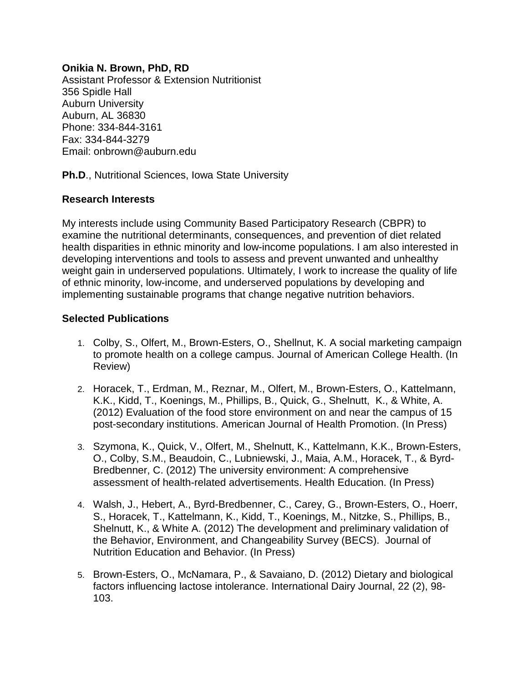## **Onikia N. Brown, PhD, RD**

Assistant Professor & Extension Nutritionist 356 Spidle Hall Auburn University Auburn, AL 36830 Phone: 334-844-3161 Fax: 334-844-3279 Email: onbrown@auburn.edu

**Ph.D**., Nutritional Sciences, Iowa State University

## **Research Interests**

My interests include using Community Based Participatory Research (CBPR) to examine the nutritional determinants, consequences, and prevention of diet related health disparities in ethnic minority and low-income populations. I am also interested in developing interventions and tools to assess and prevent unwanted and unhealthy weight gain in underserved populations. Ultimately, I work to increase the quality of life of ethnic minority, low-income, and underserved populations by developing and implementing sustainable programs that change negative nutrition behaviors.

## **Selected Publications**

- 1. Colby, S., Olfert, M., Brown-Esters, O., Shellnut, K. A social marketing campaign to promote health on a college campus. Journal of American College Health. (In Review)
- 2. Horacek, T., Erdman, M., Reznar, M., Olfert, M., Brown-Esters, O., Kattelmann, K.K., Kidd, T., Koenings, M., Phillips, B., Quick, G., Shelnutt, K., & White, A. (2012) Evaluation of the food store environment on and near the campus of 15 post-secondary institutions. American Journal of Health Promotion. (In Press)
- 3. Szymona, K., Quick, V., Olfert, M., Shelnutt, K., Kattelmann, K.K., Brown-Esters, O., Colby, S.M., Beaudoin, C., Lubniewski, J., Maia, A.M., Horacek, T., & Byrd-Bredbenner, C. (2012) The university environment: A comprehensive assessment of health-related advertisements. Health Education. (In Press)
- 4. Walsh, J., Hebert, A., Byrd-Bredbenner, C., Carey, G., Brown-Esters, O., Hoerr, S., Horacek, T., Kattelmann, K., Kidd, T., Koenings, M., Nitzke, S., Phillips, B., Shelnutt, K., & White A. (2012) The development and preliminary validation of the Behavior, Environment, and Changeability Survey (BECS). Journal of Nutrition Education and Behavior. (In Press)
- 5. Brown-Esters, O., McNamara, P., & Savaiano, D. (2012) Dietary and biological factors influencing lactose intolerance. International Dairy Journal, 22 (2), 98- 103.